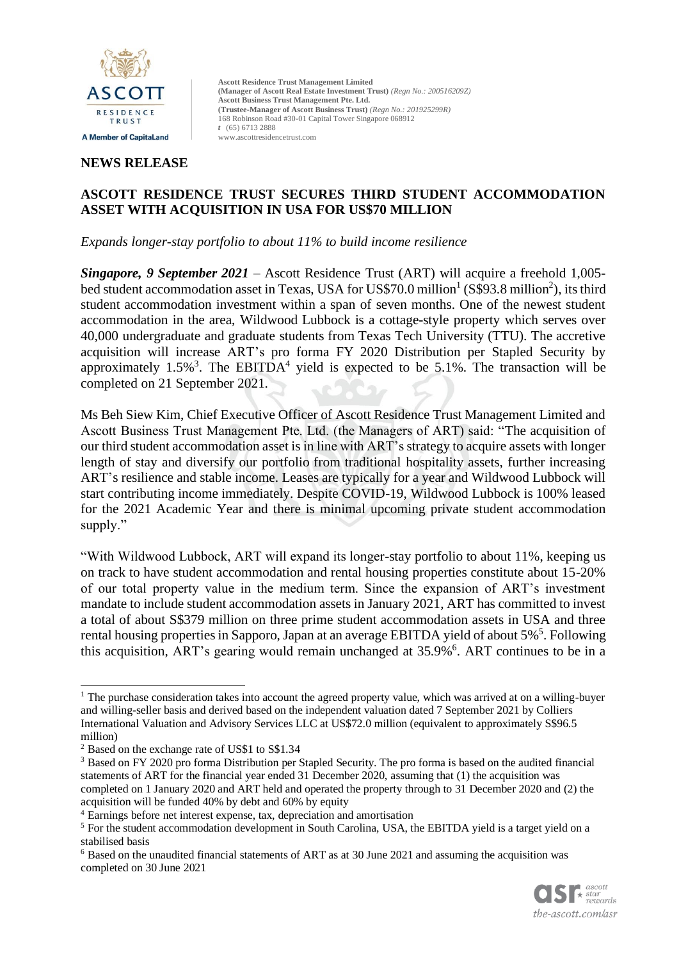

# **NEWS RELEASE**

# **ASCOTT RESIDENCE TRUST SECURES THIRD STUDENT ACCOMMODATION ASSET WITH ACQUISITION IN USA FOR US\$70 MILLION**

*Expands longer-stay portfolio to about 11% to build income resilience*

*Singapore, 9 September 2021* – Ascott Residence Trust (ART) will acquire a freehold 1,005 bed student accommodation asset in Texas, USA for US\$70.0 million<sup>1</sup> (S\$93.8 million<sup>2</sup>), its third student accommodation investment within a span of seven months. One of the newest student accommodation in the area, Wildwood Lubbock is a cottage-style property which serves over 40,000 undergraduate and graduate students from Texas Tech University (TTU). The accretive acquisition will increase ART's pro forma FY 2020 Distribution per Stapled Security by approximately  $1.5\%$ <sup>3</sup>. The EBITDA<sup>4</sup> yield is expected to be 5.1%. The transaction will be completed on 21 September 2021.

Ms Beh Siew Kim, Chief Executive Officer of Ascott Residence Trust Management Limited and Ascott Business Trust Management Pte. Ltd. (the Managers of ART) said: "The acquisition of our third student accommodation asset is in line with ART's strategy to acquire assets with longer length of stay and diversify our portfolio from traditional hospitality assets, further increasing ART's resilience and stable income. Leases are typically for a year and Wildwood Lubbock will start contributing income immediately. Despite COVID-19, Wildwood Lubbock is 100% leased for the 2021 Academic Year and there is minimal upcoming private student accommodation supply."

"With Wildwood Lubbock, ART will expand its longer-stay portfolio to about 11%, keeping us on track to have student accommodation and rental housing properties constitute about 15-20% of our total property value in the medium term. Since the expansion of ART's investment mandate to include student accommodation assets in January 2021, ART has committed to invest a total of about S\$379 million on three prime student accommodation assets in USA and three rental housing properties in Sapporo, Japan at an average EBITDA yield of about 5%<sup>5</sup>. Following this acquisition, ART's gearing would remain unchanged at 35.9%<sup>6</sup>. ART continues to be in a

<sup>6</sup> Based on the unaudited financial statements of ART as at 30 June 2021 and assuming the acquisition was completed on 30 June 2021



<sup>&</sup>lt;sup>1</sup> The purchase consideration takes into account the agreed property value, which was arrived at on a willing-buyer and willing-seller basis and derived based on the independent valuation dated 7 September 2021 by Colliers International Valuation and Advisory Services LLC at US\$72.0 million (equivalent to approximately S\$96.5 million)

<sup>&</sup>lt;sup>2</sup> Based on the exchange rate of US\$1 to S\$1.34

<sup>3</sup> Based on FY 2020 pro forma Distribution per Stapled Security. The pro forma is based on the audited financial statements of ART for the financial year ended 31 December 2020, assuming that (1) the acquisition was completed on 1 January 2020 and ART held and operated the property through to 31 December 2020 and (2) the acquisition will be funded 40% by debt and 60% by equity

<sup>4</sup> Earnings before net interest expense, tax, depreciation and amortisation

<sup>&</sup>lt;sup>5</sup> For the student accommodation development in South Carolina, USA, the EBITDA yield is a target yield on a stabilised basis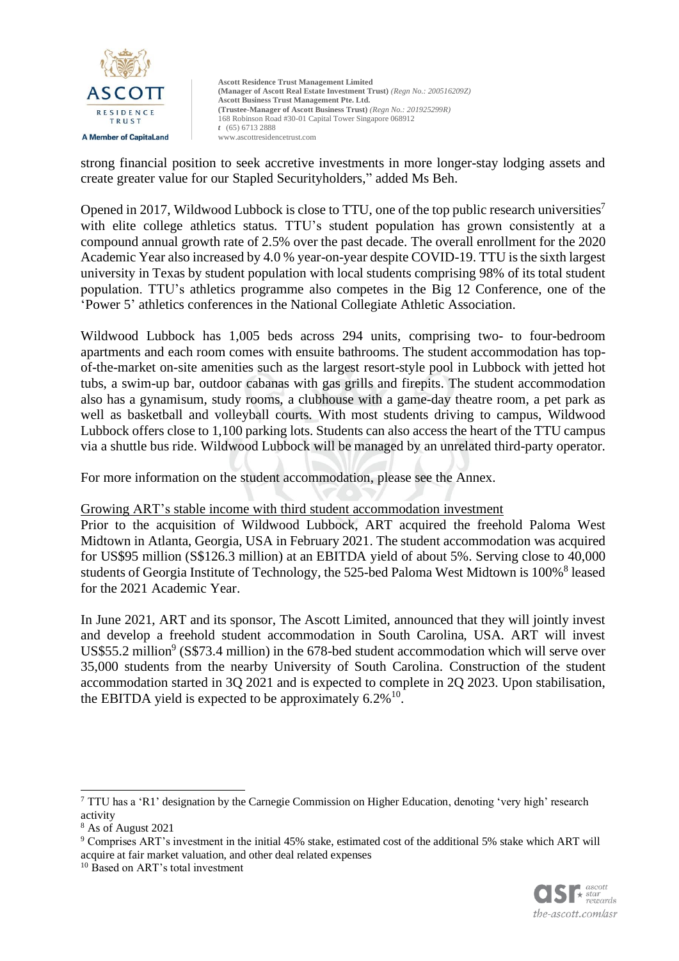

strong financial position to seek accretive investments in more longer-stay lodging assets and create greater value for our Stapled Securityholders," added Ms Beh.

Opened in 2017, Wildwood Lubbock is close to TTU, one of the top public research universities<sup>7</sup> with elite college athletics status. TTU's student population has grown consistently at a compound annual growth rate of 2.5% over the past decade. The overall enrollment for the 2020 Academic Year also increased by 4.0 % year-on-year despite COVID-19. TTU is the sixth largest university in Texas by student population with local students comprising 98% of its total student population. TTU's athletics programme also competes in the Big 12 Conference, one of the 'Power 5' athletics conferences in the National Collegiate Athletic Association.

Wildwood Lubbock has 1,005 beds across 294 units, comprising two- to four-bedroom apartments and each room comes with ensuite bathrooms. The student accommodation has topof-the-market on-site amenities such as the largest resort-style pool in Lubbock with jetted hot tubs, a swim-up bar, outdoor cabanas with gas grills and firepits. The student accommodation also has a gynamisum, study rooms, a clubhouse with a game-day theatre room, a pet park as well as basketball and volleyball courts. With most students driving to campus, Wildwood Lubbock offers close to 1,100 parking lots. Students can also access the heart of the TTU campus via a shuttle bus ride. Wildwood Lubbock will be managed by an unrelated third-party operator.

For more information on the student accommodation, please see the Annex.

#### Growing ART's stable income with third student accommodation investment

Prior to the acquisition of Wildwood Lubbock, ART acquired the freehold Paloma West Midtown in Atlanta, Georgia, USA in February 2021. The student accommodation was acquired for US\$95 million (S\$126.3 million) at an EBITDA yield of about 5%. Serving close to 40,000 students of Georgia Institute of Technology, the 525-bed Paloma West Midtown is 100%<sup>8</sup> leased for the 2021 Academic Year.

In June 2021, ART and its sponsor, The Ascott Limited, announced that they will jointly invest and develop a freehold student accommodation in South Carolina, USA. ART will invest US\$55.2 million<sup>9</sup> (S\$73.4 million) in the 678-bed student accommodation which will serve over 35,000 students from the nearby University of South Carolina. Construction of the student accommodation started in 3Q 2021 and is expected to complete in 2Q 2023. Upon stabilisation, the EBITDA yield is expected to be approximately  $6.2\%$ <sup>10</sup>.



<sup>7</sup> TTU has a 'R1' designation by the Carnegie Commission on Higher Education, denoting 'very high' research activity

<sup>8</sup> As of August 2021

<sup>9</sup> Comprises ART's investment in the initial 45% stake, estimated cost of the additional 5% stake which ART will acquire at fair market valuation, and other deal related expenses

<sup>10</sup> Based on ART's total investment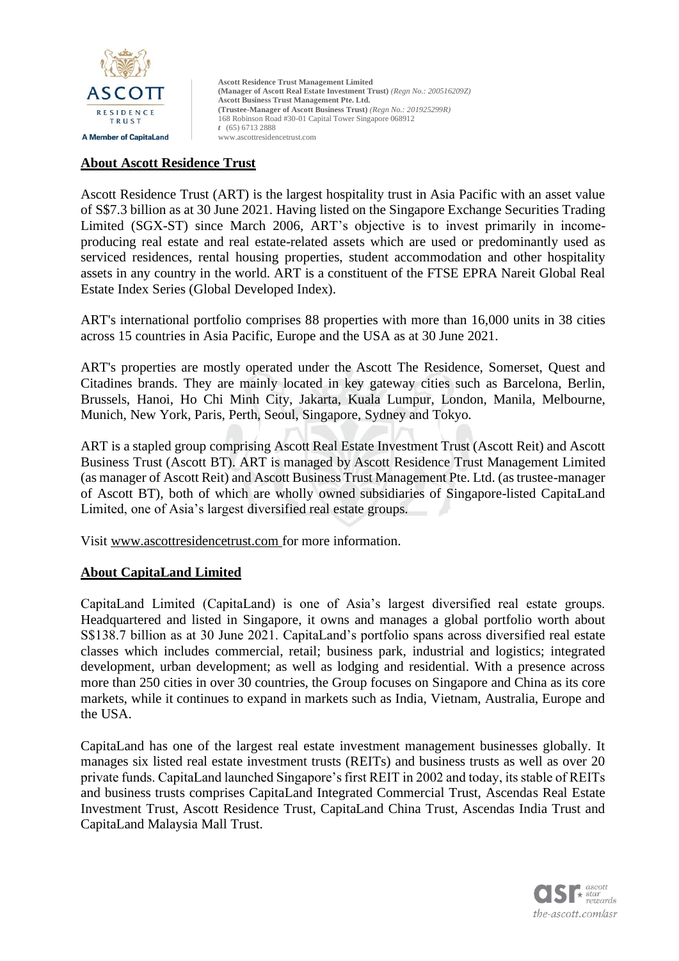

### **About Ascott Residence Trust**

Ascott Residence Trust (ART) is the largest hospitality trust in Asia Pacific with an asset value of S\$7.3 billion as at 30 June 2021. Having listed on the Singapore Exchange Securities Trading Limited (SGX-ST) since March 2006, ART's objective is to invest primarily in incomeproducing real estate and real estate-related assets which are used or predominantly used as serviced residences, rental housing properties, student accommodation and other hospitality assets in any country in the world. ART is a constituent of the FTSE EPRA Nareit Global Real Estate Index Series (Global Developed Index).

ART's international portfolio comprises 88 properties with more than 16,000 units in 38 cities across 15 countries in Asia Pacific, Europe and the USA as at 30 June 2021.

ART's properties are mostly operated under the Ascott The Residence, Somerset, Quest and Citadines brands. They are mainly located in key gateway cities such as Barcelona, Berlin, Brussels, Hanoi, Ho Chi Minh City, Jakarta, Kuala Lumpur, London, Manila, Melbourne, Munich, New York, Paris, Perth, Seoul, Singapore, Sydney and Tokyo.

ART is a stapled group comprising Ascott Real Estate Investment Trust (Ascott Reit) and Ascott Business Trust (Ascott BT). ART is managed by Ascott Residence Trust Management Limited (as manager of Ascott Reit) and Ascott Business Trust Management Pte. Ltd. (as trustee-manager of Ascott BT), both of which are wholly owned subsidiaries of Singapore-listed CapitaLand Limited, one of Asia's largest diversified real estate groups.

Visit [www.ascottresidencetrust.com](http://www.ascottresidencetrust.com/) for more information.

## **About CapitaLand Limited**

CapitaLand Limited (CapitaLand) is one of Asia's largest diversified real estate groups. Headquartered and listed in Singapore, it owns and manages a global portfolio worth about S\$138.7 billion as at 30 June 2021. CapitaLand's portfolio spans across diversified real estate classes which includes commercial, retail; business park, industrial and logistics; integrated development, urban development; as well as lodging and residential. With a presence across more than 250 cities in over 30 countries, the Group focuses on Singapore and China as its core markets, while it continues to expand in markets such as India, Vietnam, Australia, Europe and the USA.

CapitaLand has one of the largest real estate investment management businesses globally. It manages six listed real estate investment trusts (REITs) and business trusts as well as over 20 private funds. CapitaLand launched Singapore's first REIT in 2002 and today, its stable of REITs and business trusts comprises CapitaLand Integrated Commercial Trust, Ascendas Real Estate Investment Trust, Ascott Residence Trust, CapitaLand China Trust, Ascendas India Trust and CapitaLand Malaysia Mall Trust.

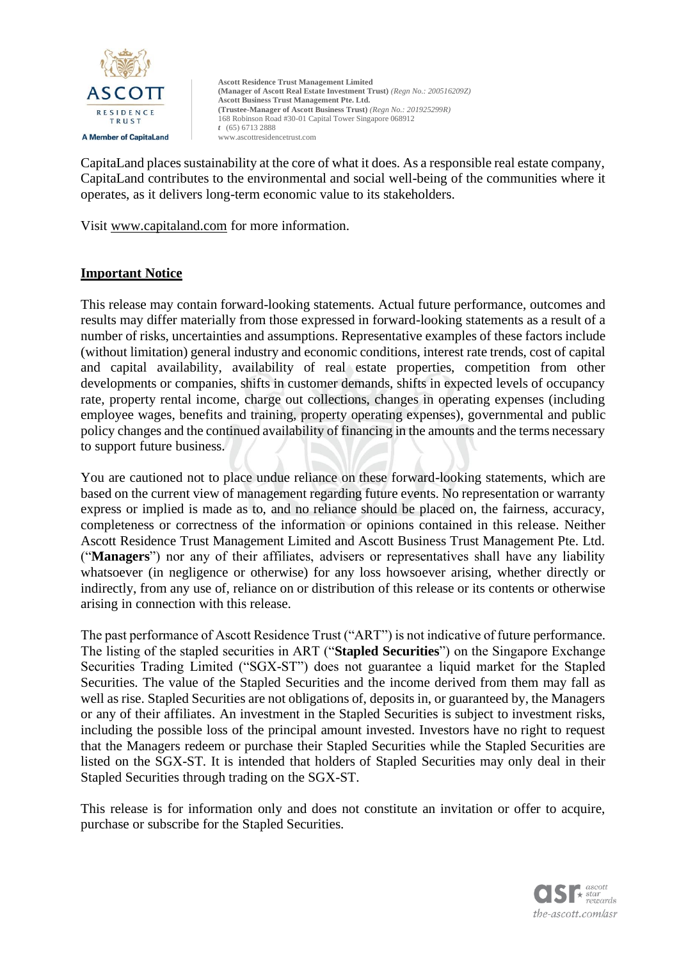

CapitaLand places sustainability at the core of what it does. As a responsible real estate company, CapitaLand contributes to the environmental and social well-being of the communities where it operates, as it delivers long-term economic value to its stakeholders.

Visit [www.capitaland.com](http://www.capitaland.com/) for more information.

## **Important Notice**

This release may contain forward-looking statements. Actual future performance, outcomes and results may differ materially from those expressed in forward-looking statements as a result of a number of risks, uncertainties and assumptions. Representative examples of these factors include (without limitation) general industry and economic conditions, interest rate trends, cost of capital and capital availability, availability of real estate properties, competition from other developments or companies, shifts in customer demands, shifts in expected levels of occupancy rate, property rental income, charge out collections, changes in operating expenses (including employee wages, benefits and training, property operating expenses), governmental and public policy changes and the continued availability of financing in the amounts and the terms necessary to support future business.

You are cautioned not to place undue reliance on these forward-looking statements, which are based on the current view of management regarding future events. No representation or warranty express or implied is made as to, and no reliance should be placed on, the fairness, accuracy, completeness or correctness of the information or opinions contained in this release. Neither Ascott Residence Trust Management Limited and Ascott Business Trust Management Pte. Ltd. ("**Managers**") nor any of their affiliates, advisers or representatives shall have any liability whatsoever (in negligence or otherwise) for any loss howsoever arising, whether directly or indirectly, from any use of, reliance on or distribution of this release or its contents or otherwise arising in connection with this release.

The past performance of Ascott Residence Trust ("ART") is not indicative of future performance. The listing of the stapled securities in ART ("**Stapled Securities**") on the Singapore Exchange Securities Trading Limited ("SGX-ST") does not guarantee a liquid market for the Stapled Securities. The value of the Stapled Securities and the income derived from them may fall as well as rise. Stapled Securities are not obligations of, deposits in, or guaranteed by, the Managers or any of their affiliates. An investment in the Stapled Securities is subject to investment risks, including the possible loss of the principal amount invested. Investors have no right to request that the Managers redeem or purchase their Stapled Securities while the Stapled Securities are listed on the SGX-ST. It is intended that holders of Stapled Securities may only deal in their Stapled Securities through trading on the SGX-ST.

This release is for information only and does not constitute an invitation or offer to acquire, purchase or subscribe for the Stapled Securities.

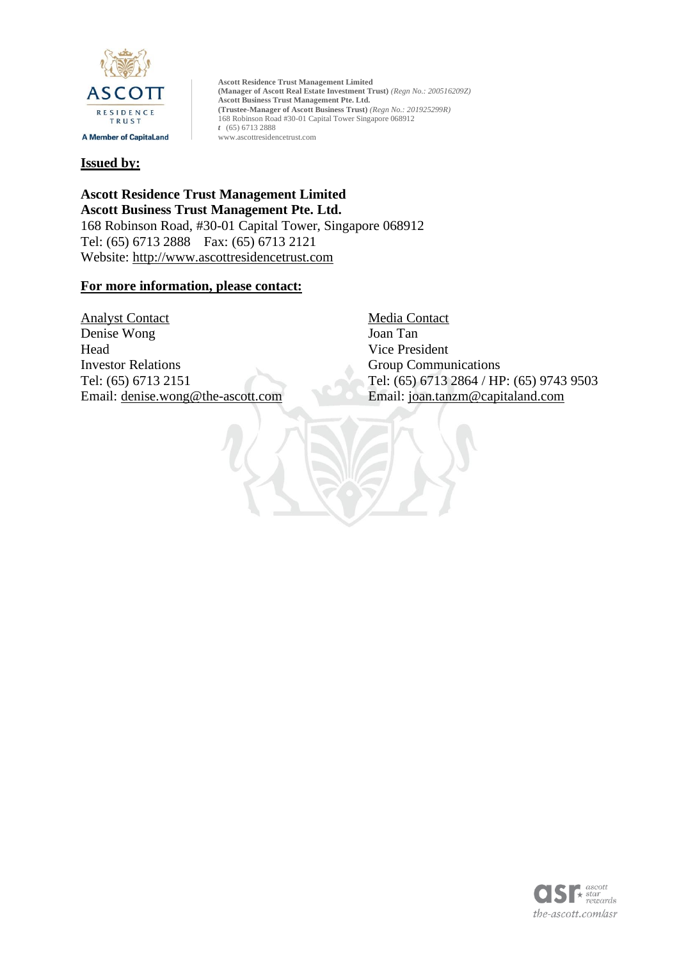

#### **Issued by:**

**Ascott Residence Trust Management Limited Ascott Business Trust Management Pte. Ltd.**  168 Robinson Road, #30-01 Capital Tower, Singapore 068912 Tel: (65) 6713 2888 Fax: (65) 6713 2121 Website: [http://www.ascottresidencetrust.com](http://www.ascottresidencetrust.com/)

#### **For more information, please contact:**

Analyst Contact Media Contact Denise Wong Joan Tan Head Vice President Investor Relations Group Communications Email: [denise.wong@the-ascott.com](mailto:denise.wong@the-ascott.com) Email: [joan.tanzm@capitaland.com](mailto:joan.tanzm@capitaland.com)

Tel: (65) 6713 2151 Tel: (65) 6713 2864 / HP: (65) 9743 9503